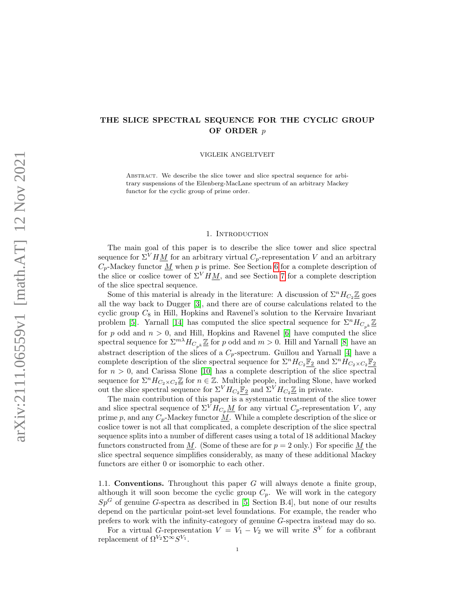## THE SLICE SPECTRAL SEQUENCE FOR THE CYCLIC GROUP OF ORDER p

VIGLEIK ANGELTVEIT

ABSTRACT. We describe the slice tower and slice spectral sequence for arbitrary suspensions of the Eilenberg-MacLane spectrum of an arbitrary Mackey functor for the cyclic group of prime order.

#### 1. INTRODUCTION

The main goal of this paper is to describe the slice tower and slice spectral sequence for  $\Sigma^V H \underline{M}$  for an arbitrary virtual  $C_p$ -representation V and an arbitrary  $C_p$ -Mackey functor  $\underline{M}$  when p is prime. See Section [6](#page-8-0) for a complete description of the slice or coslice tower of  $\Sigma^V H M$ , and see Section [7](#page-12-0) for a complete description of the slice spectral sequence.

Some of this material is already in the literature: A discussion of  $\Sigma^n H_{C_2} \mathbb{Z}$  goes all the way back to Dugger [\[3\]](#page-26-0), and there are of course calculations related to the cyclic group  $C_8$  in Hill, Hopkins and Ravenel's solution to the Kervaire Invariant problem [\[5\]](#page-26-1). Yarnall [\[14\]](#page-26-2) has computed the slice spectral sequence for  $\Sigma^n H_{C_{k}} \underline{\mathbb{Z}}$ for p odd and  $n > 0$ , and Hill, Hopkins and Ravenel [\[6\]](#page-26-3) have computed the slice spectral sequence for  $\Sigma^{m\lambda} H_{C_{nk}} \underline{\mathbb{Z}}$  for p odd and  $m > 0$ . Hill and Yarnall [\[8\]](#page-26-4) have an abstract description of the slices of a  $C_p$ -spectrum. Guillou and Yarnall [\[4\]](#page-26-5) have a complete description of the slice spectral sequence for  $\Sigma^n H_{C_2} \mathbb{F}_2$  and  $\Sigma^n H_{C_2 \times C_2} \mathbb{F}_2$ for  $n > 0$ , and Carissa Slone [\[10\]](#page-26-6) has a complete description of the slice spectral sequence for  $\Sigma^n H_{C_2 \times C_2} \underline{\mathbb{Z}}$  for  $n \in \mathbb{Z}$ . Multiple people, including Slone, have worked out the slice spectral sequence for  $\Sigma^V H_{C_2} \mathbb{F}_2$  and  $\Sigma^V H_{C_2} \mathbb{Z}$  in private.

The main contribution of this paper is a systematic treatment of the slice tower and slice spectral sequence of  $\Sigma^V H_{C_p} \underline{M}$  for any virtual  $C_p$ -representation V, any prime p, and any  $C_p$ -Mackey functor M. While a complete description of the slice or coslice tower is not all that complicated, a complete description of the slice spectral sequence splits into a number of different cases using a total of 18 additional Mackey functors constructed from M. (Some of these are for  $p = 2$  only.) For specific M the slice spectral sequence simplifies considerably, as many of these additional Mackey functors are either 0 or isomorphic to each other.

1.1. **Conventions.** Throughout this paper  $G$  will always denote a finite group, although it will soon become the cyclic group  $C_p$ . We will work in the category  $Sp<sup>G</sup>$  of genuine G-spectra as described in [\[5,](#page-26-1) Section B.4], but none of our results depend on the particular point-set level foundations. For example, the reader who prefers to work with the infinity-category of genuine G-spectra instead may do so.

For a virtual G-representation  $V = V_1 - V_2$  we will write  $S^V$  for a cofibrant replacement of  $\Omega^{V_2} \Sigma^{\infty} S^{V_1}$ .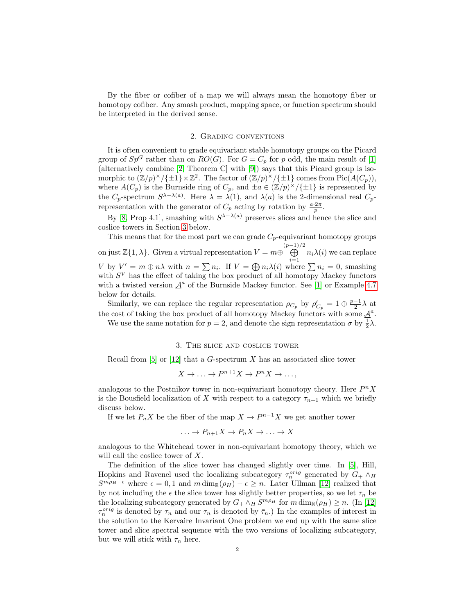By the fiber or cofiber of a map we will always mean the homotopy fiber or homotopy cofiber. Any smash product, mapping space, or function spectrum should be interpreted in the derived sense.

### 2. Grading conventions

It is often convenient to grade equivariant stable homotopy groups on the Picard group of  $Sp^G$  rather than on  $RO(G)$ . For  $G = C_p$  for p odd, the main result of [\[1\]](#page-26-7) (alternatively combine [\[2,](#page-26-8) Theorem C] with [\[9\]](#page-26-9)) says that this Picard group is isomorphic to  $(\mathbb{Z}/p)^{\times}/\{\pm 1\} \times \mathbb{Z}^2$ . The factor of  $(\mathbb{Z}/p)^{\times}/\{\pm 1\}$  comes from Pic $(A(C_p))$ , where  $A(C_p)$  is the Burnside ring of  $C_p$ , and  $\pm a \in (\mathbb{Z}/p)^{\times}/\{\pm 1\}$  is represented by the  $C_p$ -spectrum  $S^{\lambda-\lambda(a)}$ . Here  $\lambda=\lambda(1)$ , and  $\lambda(a)$  is the 2-dimensional real  $C_p$ representation with the generator of  $C_p$  acting by rotation by  $\frac{a \cdot 2\pi}{p}$ .

By [\[8,](#page-26-4) Prop 4.1], smashing with  $S^{\lambda-\lambda(a)}$  preserves slices and hence the slice and coslice towers in Section [3](#page-1-0) below.

This means that for the most part we can grade  $C_p$ -equivariant homotopy groups on just  $\mathbb{Z}{1,\lambda}$ . Given a virtual representation  $V = m \oplus \bigoplus^{(p-1)/2}$  $\bigoplus_{i=1} n_i\lambda(i)$  we can replace V by  $V' = m \oplus n\lambda$  with  $n = \sum n_i$ . If  $V = \bigoplus n_i\lambda(i)$  where  $\sum n_i = 0$ , smashing with  $S<sup>V</sup>$  has the effect of taking the box product of all homotopy Mackey functors with a twisted version  $\underline{\mathcal{A}}^a$  of the Burnside Mackey functor. See [\[1\]](#page-26-7) or Example [4.7](#page-6-0) below for details.

Similarly, we can replace the regular representation  $\rho_{C_p}$  by  $\rho'_{C_p} = 1 \oplus \frac{p-1}{2} \lambda$  at the cost of taking the box product of all homotopy Mackey functors with some  $\underline{\mathcal{A}}^a$ .

We use the same notation for  $p = 2$ , and denote the sign representation  $\sigma$  by  $\frac{1}{2}\lambda$ .

### 3. The slice and coslice tower

<span id="page-1-0"></span>Recall from  $[5]$  or  $[12]$  that a G-spectrum X has an associated slice tower

$$
X \to \ldots \to P^{n+1}X \to P^nX \to \ldots,
$$

analogous to the Postnikov tower in non-equivariant homotopy theory. Here  $P^n X$ is the Bousfield localization of X with respect to a category  $\tau_{n+1}$  which we briefly discuss below.

If we let  $P_n X$  be the fiber of the map  $X \to P^{n-1} X$  we get another tower

$$
\ldots \to P_{n+1}X \to P_nX \to \ldots \to X
$$

analogous to the Whitehead tower in non-equivariant homotopy theory, which we will call the coslice tower of X.

The definition of the slice tower has changed slightly over time. In [\[5\]](#page-26-1), Hill, Hopkins and Ravenel used the localizing subcategory  $\tau_n^{orig}$  generated by  $G_+ \wedge_H$  $S^{m\rho_H-\epsilon}$  where  $\epsilon = 0, 1$  and  $m \dim_{\mathbb{R}}(\rho_H) - \epsilon \geq n$ . Later Ullman [\[12\]](#page-26-10) realized that by not including the  $\epsilon$  the slice tower has slightly better properties, so we let  $\tau_n$  be the localizing subcategory generated by  $G_+ \wedge_H S^{m\rho_H}$  for  $m \dim_{\mathbb{R}}(\rho_H) \geq n$ . (In [\[12\]](#page-26-10)  $\tau_n^{orig}$  is denoted by  $\tau_n$  and our  $\tau_n$  is denoted by  $\bar{\tau}_n$ .) In the examples of interest in the solution to the Kervaire Invariant One problem we end up with the same slice tower and slice spectral sequence with the two versions of localizing subcategory, but we will stick with  $\tau_n$  here.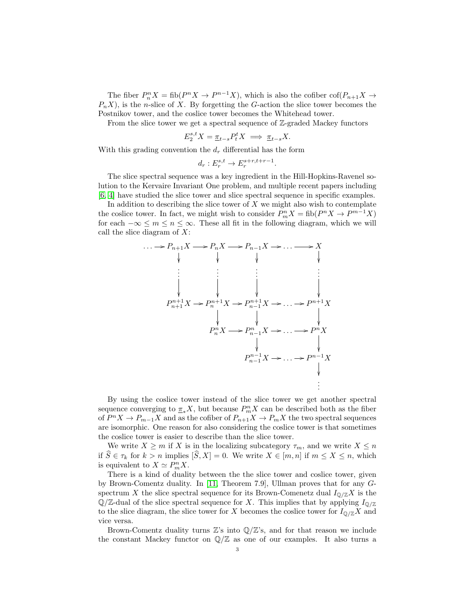The fiber  $P_n^n X = \text{fib}(P^n X \to P^{n-1} X)$ , which is also the cofiber  $\text{cof}(P_{n+1} X \to P^{n-1} X)$  $P_nX$ , is the *n*-slice of X. By forgetting the G-action the slice tower becomes the Postnikov tower, and the coslice tower becomes the Whitehead tower.

From the slice tower we get a spectral sequence of  $\mathbb{Z}$ -graded Mackey functors

$$
E_2^{s,t}X = \underline{\pi}_{t-s} P_t^t X \implies \underline{\pi}_{t-s} X.
$$

With this grading convention the  $d_r$  differential has the form

$$
d_r: E_r^{s,t} \to E_r^{s+r,t+r-1}.
$$

The slice spectral sequence was a key ingredient in the Hill-Hopkins-Ravenel solution to the Kervaire Invariant One problem, and multiple recent papers including [\[6,](#page-26-3) [4\]](#page-26-5) have studied the slice tower and slice spectral sequence in specific examples.

In addition to describing the slice tower of  $X$  we might also wish to contemplate the coslice tower. In fact, we might wish to consider  $P_m^n X = \text{fib}(P^n X \to P^{m-1} X)$ for each  $-\infty \leq m \leq n \leq \infty$ . These all fit in the following diagram, which we will call the slice diagram of  $X$ :

$$
\cdots \longrightarrow P_{n+1}X \longrightarrow P_nX \longrightarrow P_{n-1}X \longrightarrow \cdots \longrightarrow X
$$
\n
$$
\downarrow \qquad \qquad \downarrow \qquad \qquad \downarrow \qquad \qquad \downarrow
$$
\n
$$
\vdots \qquad \vdots \qquad \vdots \qquad \vdots
$$
\n
$$
P_{n+1}^{n+1}X \longrightarrow P_n^{n+1}X \longrightarrow P_{n-1}^{n+1}X \longrightarrow \cdots \longrightarrow P^{n+1}X
$$
\n
$$
\downarrow \qquad \qquad \downarrow \qquad \qquad \downarrow
$$
\n
$$
P_n^nX \longrightarrow P_{n-1}^nX \longrightarrow \cdots \longrightarrow P^nX
$$
\n
$$
\downarrow \qquad \qquad \downarrow
$$
\n
$$
P_{n-1}^{n-1}X \longrightarrow \cdots \longrightarrow P^{n-1}X
$$
\n
$$
\vdots
$$

By using the coslice tower instead of the slice tower we get another spectral sequence converging to  $\underline{\pi}_* X$ , but because  $P_m^n X$  can be described both as the fiber of  $P^n X \to P_{m-1} X$  and as the cofiber of  $P_{n+1} X \to P_m X$  the two spectral sequences are isomorphic. One reason for also considering the coslice tower is that sometimes the coslice tower is easier to describe than the slice tower.

We write  $X \ge m$  if X is in the localizing subcategory  $\tau_m$ , and we write  $X \le n$ if  $S \in \tau_k$  for  $k > n$  implies  $[S, X] = 0$ . We write  $X \in [m, n]$  if  $m \leq X \leq n$ , which is equivalent to  $X \simeq P_m^n X$ .

There is a kind of duality between the the slice tower and coslice tower, given by Brown-Comentz duality. In [\[11,](#page-26-11) Theorem 7.9], Ullman proves that for any Gspectrum X the slice spectral sequence for its Brown-Comenetz dual  $I_{\mathbb{Q}/\mathbb{Z}}X$  is the  $\mathbb{Q}/\mathbb{Z}$ -dual of the slice spectral sequence for X. This implies that by applying  $I_{\mathbb{Q}/\mathbb{Z}}$ to the slice diagram, the slice tower for X becomes the coslice tower for  $I_{\mathbb{Q}/\mathbb{Z}}X$  and vice versa.

Brown-Comentz duality turns  $\mathbb{Z}'$ 's into  $\mathbb{Q}/\mathbb{Z}'$ 's, and for that reason we include the constant Mackey functor on  $\mathbb{Q}/\mathbb{Z}$  as one of our examples. It also turns a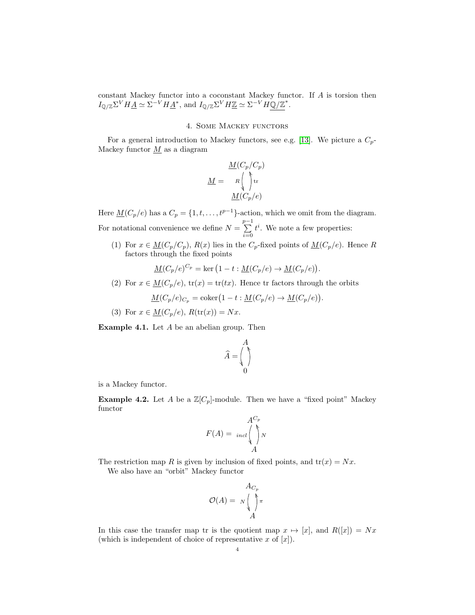constant Mackey functor into a coconstant Mackey functor. If A is torsion then  $I_{\mathbb{Q}/\mathbb{Z}}\Sigma^V H \underline{A} \simeq \Sigma^{-V} H \underline{A}^*$ , and  $I_{\mathbb{Q}/\mathbb{Z}}\Sigma^V H \underline{\mathbb{Z}} \simeq \Sigma^{-V} H \mathbb{Q}/\mathbb{Z}^*.$ 

### 4. Some Mackey functors

For a general introduction to Mackey functors, see e.g. [\[13\]](#page-26-12). We picture a  $C_p$ -Mackey functor  $\underline{M}$  as a diagram

$$
\underline{M} = \begin{array}{c} \underline{M}(C_p/C_p) \\ R \end{array}
$$
\n
$$
\underline{M} = \begin{array}{c} R \end{array}
$$
\n
$$
\underline{M}(C_p/e)
$$

Here  $\underline{M}(C_p/e)$  has a  $C_p = \{1, t, \ldots, t^{p-1}\}$ -action, which we omit from the diagram. For notational convenience we define  $N = \sum_{n=1}^{p-1}$  $i=0$  $t^i$ . We note a few properties:

(1) For  $x \in \underline{M}(C_p/C_p)$ ,  $R(x)$  lies in the  $C_p$ -fixed points of  $\underline{M}(C_p/e)$ . Hence R factors through the fixed points

$$
\underline{M}(C_p/e)^{C_p} = \ker (1 - t : \underline{M}(C_p/e) \to \underline{M}(C_p/e)).
$$

(2) For  $x \in M(C_p/e)$ ,  $tr(x) = tr(tx)$ . Hence tr factors through the orbits

$$
\underline{M}(C_p/e)_{C_p} = \text{coker}\left(1 - t : \underline{M}(C_p/e) \to \underline{M}(C_p/e)\right).
$$

(3) For  $x \in M(C_p/e)$ ,  $R(\text{tr}(x)) = Nx$ .

Example 4.1. Let A be an abelian group. Then

$$
\widehat{A} = \begin{pmatrix} A \\ \uparrow \\ 0 \end{pmatrix}
$$

is a Mackey functor.

<span id="page-3-0"></span>**Example 4.2.** Let A be a  $\mathbb{Z}[C_p]$ -module. Then we have a "fixed point" Mackey functor

$$
F(A) = \begin{array}{c} A^{C_p} \\ \text{incl} \\ A \end{array}
$$

The restriction map R is given by inclusion of fixed points, and  $tr(x) = Nx$ . We also have an "orbit" Mackey functor

$$
\mathcal{O}(A) = N \begin{pmatrix} A_{C_p} \\ \vdots \\ A \end{pmatrix} \pi
$$

In this case the transfer map tr is the quotient map  $x \mapsto [x]$ , and  $R([x]) = Nx$ (which is independent of choice of representative x of  $[x]$ ).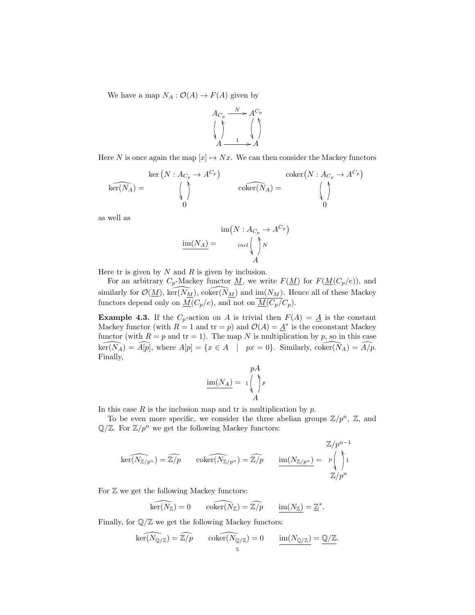We have a map  $N_A: \mathcal{O}(A) \to F(A)$  given by



Here N is once again the map  $[x] \mapsto Nx$ . We can then consider the Mackey functors

$$
\ker(N: A_{C_p} \to A^{C_p})
$$
\n
$$
\ker(N: A_{C_p} \to A^{C_p})
$$
\n
$$
\operatorname{coker}(N_A) = \bigwedge_{\begin{subarray}{c} \text{other}(N) \to A^{C_p} \to A^{C_p} \to A^{C_p} \to A^{C_p} \to A^{C_p} \to A^{C_p} \to A^{C_p} \to A^{C_p} \to A^{C_p} \to A^{C_p} \to A^{C_p} \to A^{C_p} \to A^{C_p} \to A^{C_p} \to A^{C_p} \to A^{C_p} \to A^{C_p} \to A^{C_p} \to A^{C_p} \to A^{C_p} \to A^{C_p} \to A^{C_p} \to A^{C_p} \to A^{C_p} \to A^{C_p} \to A^{C_p} \to A^{C_p} \to A^{C_p} \to A^{C_p} \to A^{C_p} \to A^{C_p} \to A^{C_p} \to A^{C_p} \to A^{C_p} \to A^{C_p} \to A^{C_p} \to A^{C_p} \to A^{C_p} \to A^{C_p} \to A^{C_p} \to A^{C_p} \to A^{C_p} \to A^{C_p} \to A^{C_p} \to A^{C_p} \to A^{C_p} \to A^{C_p} \to A^{C_p} \to A^{C_p} \to A^{C_p} \to A^{C_p} \to A^{C_p} \to A^{C_p} \to A^{C_p} \to A^{C_p} \to A^{C_p} \to A^{C_p} \to A^{C_p} \to A^{C_p} \to A^{C_p} \to A^{C_p} \to A^{C_p} \to A^{C_p} \to A^{C_p} \to A^{C_p} \to A^{C_p} \to A^{C_p} \to A^{C_p} \to A^{C_p} \to A^{C_p} \to A^{C_p} \to A^{C_p} \to A^{C_p} \to A^{C_p} \to A^{C_p} \to A^{C_p} \to A^{C_p} \to A^{C_p} \to A^{C_p} \to A^{C_p} \to A^{C_p} \to A^{C_p} \to A^{C_p} \to A^{C_p} \to A^{C_p} \to A^{C_p} \to A^{C_p} \to A^{C_p} \to A^{C_p} \to A^{C_p} \to A^{C_p} \to A^{C_p} \to A^{C_p} \to A^{C_p} \to A^{C_p} \to A^{C_p} \to A^{C_p}
$$

as well as

$$
\underline{\text{im}(N_A)} = \frac{\text{im}(N: A_{C_p} \to A^{C_p})}{\text{ind} \left(\bigwedge_{A} N\right)}
$$

Here tr is given by  $N$  and  $R$  is given by inclusion.

For an arbitrary  $C_p$ -Mackey functor <u>M</u>, we write  $F(\underline{M})$  for  $F(\underline{M}(C_p/e))$ , and similarly for  $\mathcal{O}(\underline{M})$ ,  $\ker(\overline{N_M})$ ,  $\operatorname{coker}(\overline{N_M})$  and  $\operatorname{im}(N_M)$ . Hence all of these Mackey functors depend only on  $\underline{M}(C_p/e)$ , and not on  $\underline{M}(C_p/C_p)$ .

**Example 4.3.** If the  $C_p$ -action on A is trivial then  $F(A) = \underline{A}$  is the constant Mackey functor (with  $R = 1$  and  $tr = p$ ) and  $\mathcal{O}(A) = \underline{A}^*$  is the coconstant Mackey functor (with  $R = p$  and  $tr = 1$ ). The map N is multiplication by p, so in this case  $\widehat{\text{ker}(N_A)} = \widehat{A[p]}$ , where  $A[p] = \{x \in A \mid px = 0\}$ . Similarly,  $\widehat{\text{coker}(N_A)} = \widehat{A/p}$ . Finally,

$$
\underline{\mathrm{im}(N_A)} = 1 \begin{pmatrix} pA \\ p \end{pmatrix} p
$$

In this case  $R$  is the inclusion map and tr is multiplication by  $p$ .

To be even more specific, we consider the three abelian groups  $\mathbb{Z}/p^n$ ,  $\mathbb{Z}$ , and  $\mathbb{Q}/\mathbb{Z}$ . For  $\mathbb{Z}/p^n$  we get the following Mackey functors:

$$
\widehat{\ker(N_{\mathbb{Z}/p^n})} = \widehat{\mathbb{Z}/p} \qquad \widehat{\operatorname{coker}(N_{\mathbb{Z}/p^n})} = \widehat{\mathbb{Z}/p} \qquad \underbrace{\operatorname{im}(N_{\mathbb{Z}/p^n})} = \begin{array}{c} \mathbb{Z}/p^{n-1} \\ p \\ \hline \mathbb{Z}/p^n \end{array}
$$

For  $\mathbb Z$  we get the following Mackey functors:

 $\widehat{\ker(N_{\mathbb{Z}})} = 0 \qquad \widehat{\operatorname{coker}(N_{\mathbb{Z}})} = \widehat{\mathbb{Z}/p} \qquad \underline{\operatorname{im}(N_{\mathbb{Z}})} = \underline{\mathbb{Z}}^*.$ 

Finally, for  $\mathbb{Q}/\mathbb{Z}$  we get the following Mackey functors:

$$
\widehat{\text{ker}(N_{\mathbb{Q}/\mathbb{Z}})} = \widehat{\mathbb{Z}/p} \qquad \widehat{\text{coker}(N_{\mathbb{Q}/\mathbb{Z}})} = 0 \qquad \underbrace{\text{im}(N_{\mathbb{Q}/\mathbb{Z}})}_{5} = \underbrace{\mathbb{Q}/\mathbb{Z}}.
$$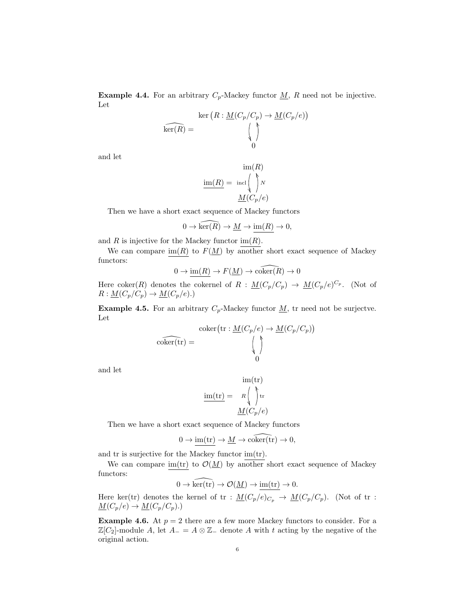<span id="page-5-0"></span>**Example 4.4.** For an arbitrary  $C_p$ -Mackey functor  $\underline{M}$ , R need not be injective. Let

$$
\ker(R: \underline{M}(C_p/C_p) \to \underline{M}(C_p/e))
$$
  

$$
\ker(R) = \bigcup_{0}
$$

and let

$$
\underline{\text{im}(R)} = \operatorname{incl}\left(\bigwedge^b N\right)
$$

$$
\underline{M(C_p/e)}
$$

Then we have a short exact sequence of Mackey functors

$$
0 \to \widehat{\ker(R)} \to \underline{M} \to \underline{\mathrm{im}(R)} \to 0,
$$

and R is injective for the Mackey functor  $\text{im}(R)$ .

We can compare im(R) to  $F(\underline{M})$  by another short exact sequence of Mackey functors:

$$
0 \to \underline{\text{im}(R)} \to F(\underline{M}) \to \widehat{\text{coker}(R)} \to 0
$$

Here coker(R) denotes the cokernel of  $R : \underline{M}(C_p/C_p) \to \underline{M}(C_p/e)^{C_p}$ . (Not of  $R: \underline{M}(C_p/C_p) \to \underline{M}(C_p/e).$ 

<span id="page-5-1"></span>**Example 4.5.** For an arbitrary  $C_p$ -Mackey functor  $\underline{M}$ , tr need not be surjectve. Let

$$
\widehat{\text{coker}(\text{tr})} = \bigvee_{\begin{array}{c} \text{coker}(\text{tr}: \underline{M}(C_p/e) \to \underline{M}(C_p/C_p)) \\ \langle & \rangle \\ 0 \end{array}}
$$

and let

$$
\mathrm{im}(\mathrm{tr}) = \begin{array}{c} \mathrm{im}(\mathrm{tr}) \\ \mathrm{R} \end{array}
$$
\n
$$
\frac{\mathrm{im}(\mathrm{tr})}{M(C_p/e)}
$$

Then we have a short exact sequence of Mackey functors

$$
0 \to \underline{\text{im}(\text{tr})} \to \underline{M} \to \widehat{\text{coker}(\text{tr})} \to 0,
$$

and tr is surjective for the Mackey functor im(tr).

We can compare im(tr) to  $\mathcal{O}(\underline{M})$  by another short exact sequence of Mackey functors:

$$
0 \to \widehat{\ker(\mathrm{tr})} \to \mathcal{O}(\underline{M}) \to \underline{\mathrm{im}(\mathrm{tr})} \to 0.
$$

Here ker(tr) denotes the kernel of tr :  $\underline{M}(C_p/e)_{C_p} \to \underline{M}(C_p/C_p)$ . (Not of tr :  $\underline{M}(C_p/e) \to \underline{M}(C_p/C_p).$ 

<span id="page-5-2"></span>**Example 4.6.** At  $p = 2$  there are a few more Mackey functors to consider. For a  $\mathbb{Z}[C_2]$ -module A, let  $A_-=A\otimes \mathbb{Z}_-$  denote A with t acting by the negative of the original action.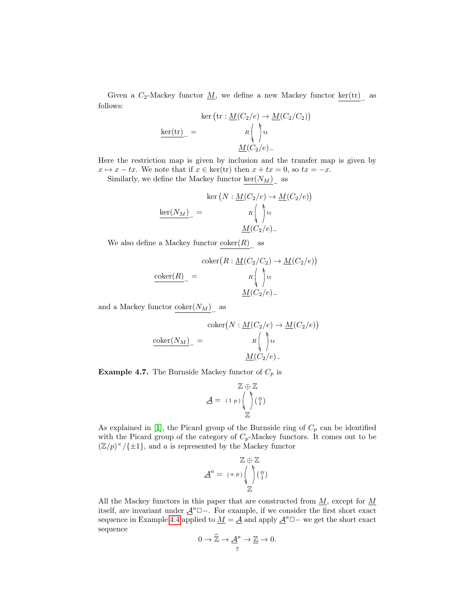Given a  $C_2$ -Mackey functor  $\underline{M}$ , we define a new Mackey functor  $\underline{\text{ker}(\text{tr})}$  as follows:

$$
\ker (\operatorname{tr} : \underline{M}(C_2/e) \to \underline{M}(C_2/C_2))
$$

$$
\underline{\ker(\operatorname{tr})}_{-} = \underline{R} \Big( \bigwedge_{i=1}^{n} \operatorname{tr}
$$

$$
\underline{M}(C_2/e)_{-}
$$

Here the restriction map is given by inclusion and the transfer map is given by  $x \mapsto x - tx$ . We note that if  $x \in \text{ker}(\text{tr})$  then  $x + tx = 0$ , so  $tx = -x$ .

Similarly, we define the Mackey functor  $\underline{\text{ker}(N_M)}_{-}$  as

$$
\ker(N: \underline{M}(C_2/e) \to \underline{M}(C_2/e))
$$

$$
\underline{\ker(N_M)}_{-} = \frac{R \begin{pmatrix} \lambda & \lambda \\ \lambda & \lambda \\ \lambda & \lambda \end{pmatrix} \mathrm{tr}}
$$

$$
\underline{M}(C_2/e)_{-}
$$

We also define a Mackey functor  $\underline{\text{coker}(R)}}_{-}$  as

$$
\operatorname{coker}(R: \underline{M}(C_2/C_2) \to \underline{M}(C_2/e))
$$

$$
\operatorname{coker}(R) = \begin{pmatrix} \uparrow & \uparrow \\ R & \downarrow \\ \underline{M}(C_2/e) \end{pmatrix}
$$

and a Mackey functor  $\frac{\text{coker}(N_M)}{}$  as

$$
\frac{\operatorname{coker}(N: \underline{M}(C_2/e) \to \underline{M}(C_2/e))}{R \int \limits_{\text{tr}} \mathfrak{r}} \exp\left(\frac{N}{R}\right)
$$
\n
$$
\frac{M(C_2/e)}{M(C_2/e)}
$$

<span id="page-6-0"></span>**Example 4.7.** The Burnside Mackey functor of  $C_p$  is

$$
\underline{\mathcal{A}} = (1 p) \begin{pmatrix} \uparrow \\ \downarrow \\ \downarrow \end{pmatrix} \begin{pmatrix} 0 \\ 1 \end{pmatrix}
$$

As explained in [\[1\]](#page-26-7), the Picard group of the Burnside ring of  $C_p$  can be identified with the Picard group of the category of  $C_p$ -Mackey functors. It comes out to be  $(\mathbb{Z}/p)^{\times}/\{\pm 1\}$ , and a is represented by the Mackey functor

$$
\underline{\mathcal{A}}^a = (a p) \begin{pmatrix} \uparrow & 0 \\ \downarrow & 0 \\ \downarrow & \downarrow \end{pmatrix}
$$

All the Mackey functors in this paper that are constructed from  $M$ , except for  $M$ itself, are invariant under  $\underline{\mathcal{A}}^a \square -$ . For example, if we consider the first short exact sequence in Example [4.4](#page-5-0) applied to  $\underline{M} = \underline{A}$  and apply  $\underline{A}^a \square -$  we get the short exact sequence

$$
0 \to \widehat{\mathbb{Z}} \to \underline{\mathcal{A}}^a \to \underline{\mathbb{Z}} \to 0.
$$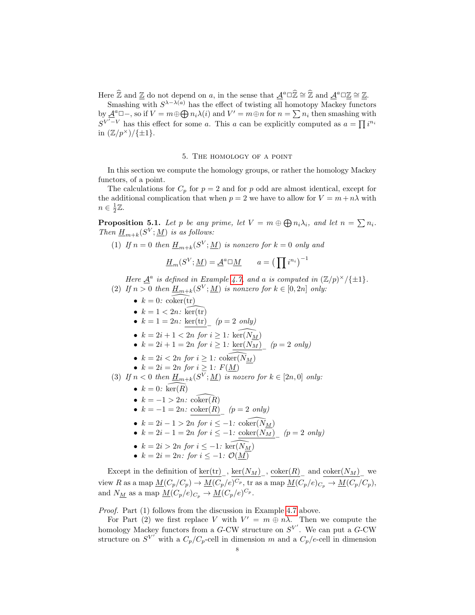Here  $\widehat{\mathbb{Z}}$  and  $\underline{\mathbb{Z}}$  do not depend on a, in the sense that  $\underline{\mathcal{A}}^a \square \widehat{\mathbb{Z}} \cong \widehat{\mathbb{Z}}$  and  $\underline{\mathcal{A}}^a \square \underline{\mathbb{Z}} \cong \underline{\mathbb{Z}}$ .

Smashing with  $S^{\lambda-\lambda(a)}$  has the effect of twisting all homotopy Mackey functors by  $\underline{\mathcal{A}}^a \Box -$ , so if  $V = m \oplus \bigoplus n_i \lambda(i)$  and  $V' = m \oplus n$  for  $n = \sum n_i$  then smashing with  $S^{V'-V}$  has this effect for some a. This a can be explicitly computed as  $a = \prod_i i^{n_i}$ in  $(\mathbb{Z}/p^{\times})/\{\pm 1\}.$ 

#### 5. The homology of a point

In this section we compute the homology groups, or rather the homology Mackey functors, of a point.

The calculations for  $C_p$  for  $p = 2$  and for p odd are almost identical, except for the additional complication that when  $p = 2$  we have to allow for  $V = m + n\lambda$  with  $n \in \frac{1}{2}\mathbb{Z}$ .

<span id="page-7-0"></span>**Proposition 5.1.** Let p be any prime, let  $V = m \oplus \bigoplus n_i \lambda_i$ , and let  $n = \sum n_i$ . Then  $\underline{H}_{m+k}(S^V;\underline{M})$  is as follows:

(1) If  $n = 0$  then  $\underline{H}_{m+k}(S^V; \underline{M})$  is nonzero for  $k = 0$  only and

$$
\underline{H}_m(S^V; \underline{M}) = \underline{A}^a \square \underline{M} \qquad a = \left(\prod i^{n_i}\right)^{-1}
$$

Here  $\underline{\mathcal{A}}^a$  is defined in Example [4.7,](#page-6-0) and a is computed in  $(\mathbb{Z}/p)^\times/\{\pm 1\}$ .

- (2) If  $n > 0$  then  $\underline{H}_{m+k}(S^V; \underline{M})$  is nonzero for  $k \in [0, 2n]$  only:
	- $k = 0$ : coker(tr)
	- $k = 1 < 2n$ : ker(tr)
	- $k = 1 = 2n$ :  $\frac{\text{ker}(\text{tr})}{n}$  (p = 2 only)
	- $k = 2i + 1 < 2n$  for  $i \geq 1$ :  $\widehat{\text{ker}(N_M)}$
	- $k = 2i + 1 = 2n$  for  $i \ge 1$ :  $\frac{\text{ker}(N_M)}{n}$  (p = 2 only)
	- $k = 2i < 2n$  for  $i \geq 1$ :  $\widehat{\text{coker}(N_M)}$
	- $k = 2i = 2n$  for  $i \geq 1$ :  $F(\underline{M})$
- (3) If  $n < 0$  then  $\underline{H}_{m+k}(S^V; \underline{M})$  is nozero for  $k \in [2n, 0]$  only:
	- $k = 0$ :  $\widehat{\ker(R)}$
	- $k = -1 > 2n$ : coker $(R)$
	- $k = -1 = 2n$ :  $\frac{\text{coker}(R)}{n}$  (p = 2 only)
	- $k = 2i 1 > 2n$  for  $i \leq -1$ :  $\widehat{\text{coker}(N_M)}$
	- $k = 2i 1 = 2n$  for  $i \leq -1$ :  $\frac{\text{coker}(N_M)}{n}$  (p = 2 only)
	- $k = 2i > 2n$  for  $i \leq -1$ :  $\widehat{\text{ker}(N_M)}$
	- $k = 2i = 2n$ : for  $i \leq -1$ :  $\mathcal{O}(\underline{M})$

Except in the definition of  $\ker(\text{tr})$ ,  $\ker(N_M)$ ,  $\operatorname{coker}(R)$  and  $\operatorname{coker}(N_M)$  we view R as a map  $\underline{M}(C_p/C_p) \to \underline{M}(C_p/e)^{C_p}$ , tr as a map  $\underline{M}(C_p/e)_{C_p} \to \underline{M}(C_p/C_p)$ , and  $N_{\underline{M}}$  as a map  $\underline{M}(C_p/e)_{C_p} \to \underline{M}(C_p/e)^{C_p}$ .

Proof. Part (1) follows from the discussion in Example [4.7](#page-6-0) above.

For Part (2) we first replace V with  $V' = m \oplus n\lambda$ . Then we compute the homology Mackey functors from a G-CW structure on  $S^{V'}$ . We can put a G-CW structure on  $S^{V'}$  with a  $C_p/C_p$ -cell in dimension m and a  $C_p/e$ -cell in dimension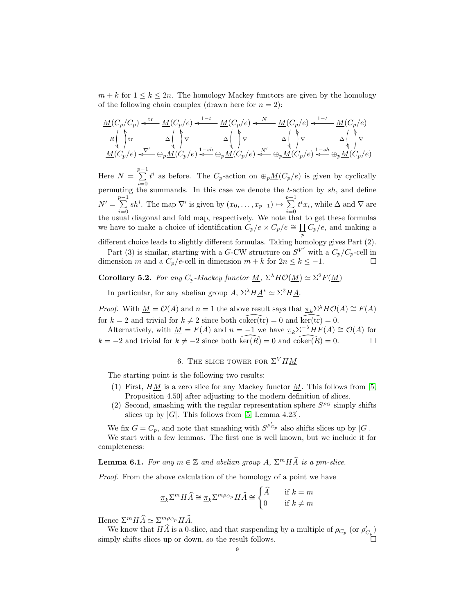$m + k$  for  $1 \leq k \leq 2n$ . The homology Mackey functors are given by the homology of the following chain complex (drawn here for  $n = 2$ ):

$$
\underline{M}(C_p/C_p) \underset{A}{\left\langle \right\vert} \underset{v}{\uparrow} \text{tr} \quad \underline{M}(C_p/e) \underset{A}{\left\langle \right\vert} \underset{v}{\uparrow} \text{tr} \quad \Delta \bigg\langle \underset{A}{\left\langle \right\vert} \underset{v}{\uparrow} \text{tr} \quad \Delta \bigg\langle \underset{A}{\left\langle \right\vert} \text{tr} \quad \Delta \bigg\langle \underset{A}{\left\langle \right\vert} \text{tr} \quad \Delta \bigg\langle \underset{A}{\left\langle \right\vert} \text{tr} \quad \Delta \bigg\langle \underset{A}{\left\langle \right\vert} \text{tr} \quad \Delta \bigg\langle \underset{A}{\left\langle \right\vert} \text{tr} \quad \Delta \bigg\langle \underset{A}{\left\langle \right\vert} \text{tr} \quad \Delta \bigg\langle \underset{A}{\left\langle \right\vert} \text{tr} \quad \Delta \bigg\langle \underset{A}{\left\langle \right\vert} \text{tr} \quad \Delta \bigg\langle \underset{A}{\left\langle \right\vert} \text{tr} \quad \Delta \bigg\langle \underset{A}{\left\langle \right\vert} \text{tr} \quad \Delta \bigg\langle \underset{A}{\left\langle \right\vert} \text{tr} \quad \Delta \bigg\langle \underset{A}{\left\langle \right\vert} \text{tr} \quad \Delta \bigg\langle \underset{A}{\left\langle \right\vert} \text{tr} \quad \Delta \bigg\langle \underset{A}{\left\langle \right\vert} \text{tr} \quad \Delta \bigg\langle \underset{A}{\left\langle \right\vert} \text{tr} \quad \Delta \bigg\langle \underset{A}{\left\langle \right\vert} \text{tr} \quad \Delta \bigg\langle \underset{A}{\left\langle \right\vert} \text{tr} \quad \Delta \bigg\langle \underset{A}{\left\langle \right\vert} \text{tr} \quad \Delta \bigg\langle \underset{A}{\left\langle \right\vert} \text{tr} \quad \Delta \bigg\langle \underset{A}{\left\langle \right\vert} \text{tr} \quad \Delta \bigg\langle \underset{A}{\left\langle \right\vert} \text{tr} \quad \Delta \bigg\langle \underset{A}{\left\langle \right\vert} \text{tr} \quad
$$

Here  $N = \sum_{n=1}^{p-1}$  $i=0$  $t^i$  as before. The  $C_p$ -action on  $\bigoplus_p M(C_p/e)$  is given by cyclically permuting the summands. In this case we denote the t-action by  $sh$ , and define  $N' = \sum_{n=1}^{p-1}$  $i=0$ sh<sup>i</sup>. The map  $\nabla'$  is given by  $(x_0, \ldots, x_{p-1}) \mapsto \sum^{p-1}$  $i=0$  $t^i x_i$ , while  $\Delta$  and  $\nabla$  are the usual diagonal and fold map, respectively. We note that to get these formulas we have to make a choice of identification  $C_p/e \times C_p/e \cong \coprod$  $\mathop{\coprod}_{p} C_p/e$ , and making a

different choice leads to slightly different formulas. Taking homology gives Part (2). Part (3) is similar, starting with a G-CW structure on  $S^{V'}$  with a  $C_p/C_p$ -cell in

dimension m and a  $C_p/e$ -cell in dimension  $m + k$  for  $2n \leq k \leq -1$ .

<span id="page-8-2"></span>**Corollary 5.2.** For any  $C_p$ -Mackey functor <u>M</u>,  $\Sigma^{\lambda} H \mathcal{O}(\underline{M}) \simeq \Sigma^2 F(\underline{M})$ 

In particular, for any abelian group  $A$ ,  $\Sigma^{\lambda} H \underline{A}^* \simeq \Sigma^2 H \underline{A}$ .

*Proof.* With  $\underline{M} = \mathcal{O}(A)$  and  $n = 1$  the above result says that  $\underline{\pi}_k \Sigma^{\lambda} H \mathcal{O}(A) \cong F(A)$ for  $k = 2$  and trivial for  $k \neq 2$  since both coker(tr) = 0 and  $\widehat{\ker(\mathrm{tr})} = 0$ .

Alternatively, with  $\underline{M} = F(A)$  and  $n = -1$  we have  $\underline{\pi}_k \Sigma^{-\lambda} H F(A) \cong \mathcal{O}(A)$  for  $k = -2$  and trivial for  $k \neq -2$  since both ker $(R) = 0$  and coker $(R) = 0$ .

# 6. THE SLICE TOWER FOR  $\Sigma^V H M$

<span id="page-8-0"></span>The starting point is the following two results:

- (1) First,  $HM$  is a zero slice for any Mackey functor M. This follows from [\[5,](#page-26-1) Proposition 4.50] after adjusting to the modern definition of slices.
- (2) Second, smashing with the regular representation sphere  $S^{\rho_G}$  simply shifts slices up by  $|G|$ . This follows from [\[5,](#page-26-1) Lemma 4.23].

We fix  $G = C_p$ , and note that smashing with  $S^{\rho'_{C_p}}$  also shifts slices up by |G|. We start with a few lemmas. The first one is well known, but we include it for completeness:

<span id="page-8-1"></span>**Lemma 6.1.** For any  $m \in \mathbb{Z}$  and abelian group  $A$ ,  $\Sigma^m H \hat{A}$  is a pm-slice.

Proof. From the above calculation of the homology of a point we have

$$
\underline{\pi}_k \Sigma^m H \widehat{A} \cong \underline{\pi}_k \Sigma^{m \rho_{C_p}} H \widehat{A} \cong \begin{cases} \widehat{A} & \text{if } k = m \\ 0 & \text{if } k \neq m \end{cases}
$$

Hence  $\Sigma^m H \widehat{A} \simeq \Sigma^{m \rho c_p} H \widehat{A}.$ 

We know that  $H\hat{A}$  is a 0-slice, and that suspending by a multiple of  $\rho_{C_p}$  (or  $\rho'_{C_p}$ ) simply shifts slices up or down, so the result follows.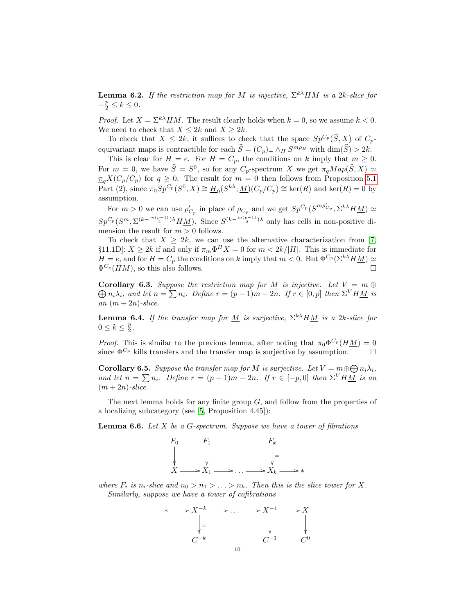**Lemma 6.2.** If the restriction map for <u>M</u> is injective,  $\Sigma^{k\lambda} H \underline{M}$  is a 2k-slice for  $-\frac{p}{2} \leq k \leq 0.$ 

*Proof.* Let  $X = \sum_{k=1}^{k} M_k$ . The result clearly holds when  $k = 0$ , so we assume  $k < 0$ . We need to check that  $X \leq 2k$  and  $X \geq 2k$ .

To check that  $X \leq 2k$ , it suffices to check that the space  $Sp^{C_p}(\widehat{S}, X)$  of  $C_p$ equivariant maps is contractible for each  $\hat{S} = (C_p)_+ \wedge_H S^{m\rho_H}$  with  $\dim(\hat{S}) > 2k$ .

This is clear for  $H = e$ . For  $H = C_p$ , the conditions on k imply that  $m \geq 0$ . For  $m = 0$ , we have  $\hat{S} = S^0$ , so for any  $C_p$ -spectrum X we get  $\pi_q Map(\hat{S}, X) \simeq$  $\frac{\pi}{q}X(C_p/C_p)$  for  $q \geq 0$ . The result for  $m = 0$  then follows from Proposition [5.1](#page-7-0) Part (2), since  $\pi_0 Sp^{C_p}(S^0, X) \cong \underline{H}_0(S^{k\lambda}; \underline{M})(C_p/C_p) \cong \text{ker}(R)$  and  $\text{ker}(R) = 0$  by assumption.

For  $m > 0$  we can use  $\rho'_{C_p}$  in place of  $\rho_{C_p}$  and we get  $Sp^{C_p}(S^{m\rho'_{C_p}}, \Sigma^{k\lambda}H\underline{M}) \simeq$  $Sp^{C_p}(S^m, \Sigma^{(k-\frac{m(p-1)}{2})\lambda}HM)$ . Since  $S^{(k-\frac{m(p-1)}{2})\lambda}$  only has cells in non-positive dimension the result for  $m > 0$  follows.

To check that  $X \geq 2k$ , we can use the alternative characterization from [\[7,](#page-26-13) §11.1D]:  $X \geq 2k$  if and only if  $\pi_m \Phi^H X = 0$  for  $m \langle 2k/|H|$ . This is immediate for  $H = e$ , and for  $H = C_p$  the conditions on k imply that  $m < 0$ . But  $\Phi^{C_p}(\Sigma^{k\lambda} H \underline{M}) \simeq$  $\Phi^{C_p}(H\underline{M})$ , so this also follows.

<span id="page-9-0"></span>**Corollary 6.3.** Suppose the restriction map for <u>M</u> is injective. Let  $V = m \oplus$  $\bigoplus n_i\lambda_i$ , and let  $n = \sum n_i$ . Define  $r = (p-1)m - 2n$ . If  $r \in [0, p]$  then  $\Sigma^V H \underline{M}$  is an  $(m+2n)$ -slice.

**Lemma 6.4.** If the transfer map for <u>M</u> is surjective,  $\Sigma^{k\lambda}HM$  is a 2k-slice for  $0 \leq k \leq \frac{p}{2}$ .

*Proof.* This is similar to the previous lemma, after noting that  $\pi_0 \Phi^{C_p}(H \underline{M}) = 0$ since  $\Phi^{C_p}$  kills transfers and the transfer map is surjective by assumption.

<span id="page-9-2"></span>**Corollary 6.5.** Suppose the transfer map for <u>M</u> is surjective. Let  $V = m \oplus \bigoplus n_i \lambda_i$ , and let  $n = \sum n_i$ . Define  $r = (p-1)m - 2n$ . If  $r \in [-p, 0]$  then  $\Sigma^V H M$  is an  $(m+2n)$ -slice.

The next lemma holds for any finite group G, and follow from the properties of a localizing subcategory (see [\[5,](#page-26-1) Proposition 4.45]):

<span id="page-9-1"></span>**Lemma 6.6.** Let  $X$  be a  $G$ -spectrum. Suppose we have a tower of fibrations



where  $F_i$  is  $n_i$ -slice and  $n_0 > n_1 > \ldots > n_k$ . Then this is the slice tower for X. Similarly, suppose we have a tower of cofibrations

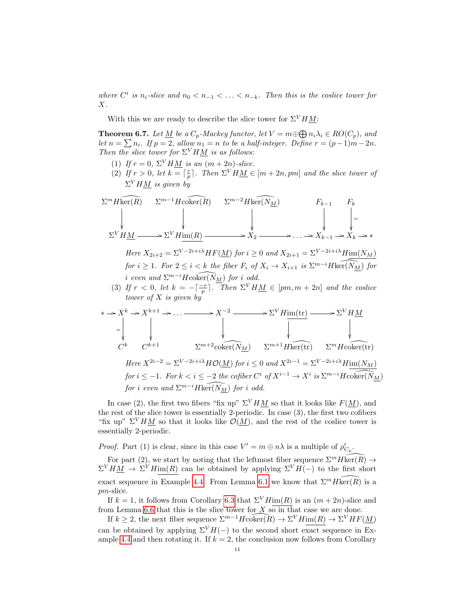where  $C^i$  is  $n_i$ -slice and  $n_0 < n_{-1} < \ldots < n_{-k}$ . Then this is the coslice tower for  $X$ .

With this we are ready to describe the slice tower for  $\Sigma^V H M$ :

<span id="page-10-0"></span>**Theorem 6.7.** Let <u>M</u> be a  $C_p$ -Mackey functor, let  $V = m \oplus \bigoplus n_i \lambda_i \in RO(C_p)$ , and let  $n = \sum n_i$ . If  $p = 2$ , allow  $n_1 = n$  to be a half-integer. Define  $r = (p-1)m - 2n$ . Then the slice tower for  $\Sigma^V H M$  is as follows:

- (1) If  $r = 0$ ,  $\Sigma^V H M$  is an  $(m + 2n)$ -slice.
- (2) If  $r > 0$ , let  $k = \lceil \frac{r}{p} \rceil$ . Then  $\Sigma^V H \underline{M} \in [m + 2n, pm]$  and the slice tower of  $\Sigma^V H \underline{M}$  is given by

$$
\Sigma^{m} H \widehat{\ker(R)} \quad \Sigma^{m-1} H \widehat{\operatorname{coker}(R)} \quad \Sigma^{m-2} H \widehat{\ker(N_M)} \quad F_{k-1} \quad F_{k}
$$
\n
$$
\downarrow \qquad \qquad \downarrow \qquad \qquad \downarrow \qquad \qquad F_{k-1} \quad F_{k}
$$
\n
$$
\Sigma^{V} H \underline{M} \longrightarrow \Sigma^{V} H \underline{\operatorname{im}(R)} \longrightarrow X_2 \longrightarrow \dots \longrightarrow X_{k-1} \longrightarrow X_k \longrightarrow *
$$

Here  $X_{2i+2} = \sum_{i} V^{-2i+i\lambda} HF(\underline{M})$  for  $i \geq 0$  and  $X_{2i+1} = \sum_{i} V^{-2i+i\lambda}$   $H_{\text{im}}(N_M)$ for  $i \geq 1$ . For  $2 \leq i < k$  the fiber  $F_i$  of  $X_i \to X_{i+1}$  is  $\Sigma^{m-i}H\widehat{\ker(N_M)}$  for i even and  $\Sigma^{m-i} H \widehat{\operatorname{coker}(N_M)}$  for i odd.

(3) If  $r < 0$ , let  $k = -\lceil \frac{-r}{p} \rceil$ . Then  $\Sigma^V H \underline{M} \in [pm, m + 2n]$  and the coslice tower of  $X$  is given by

$$
\begin{aligned}\n &*\rightarrow X^k \rightarrow X^{k+1} \rightarrow \dots \longrightarrow X^{-2} \longrightarrow \Sigma^V H \text{im}(\text{tr}) \longrightarrow \Sigma^V H \underline{M} \\
 &= \left| \bigcup_{C^k} C^{k+1} \sum_{T^{k+1} \subset C^{k+1}} \Sigma^{m+2} \text{coker}(\overline{N_M}) \sum_{T^{k+1} H \text{ker}(\text{tr})} \sum_{T^{k+1} H \text{coker}(\text{tr})} \Sigma^{m} H \text{coker}(\text{tr}) \right. \\
 &\text{Here } X^{2i-2} = \Sigma^{V-2i+i\lambda} H \mathcal{O}(\underline{M}) \text{ for } i \leq 0 \text{ and } X^{2i-1} = \Sigma^{V-2i+i\lambda} H \underline{\text{im}}(\underline{N_M}) \\
 & \text{for } i \text{ even and } \Sigma^{m-i} H \text{ker}(\overline{N_M}) \text{ for } i \text{ odd}.\n\end{aligned}
$$

In case (2), the first two fibers "fix up"  $\Sigma^V H M$  so that it looks like  $F(M)$ , and the rest of the slice tower is essentially 2-periodic. In case (3), the first two cofibers "fix up"  $\Sigma^V H M$  so that it looks like  $\mathcal{O}(M)$ , and the rest of the coslice tower is essentially 2-periodic.

*Proof.* Part (1) is clear, since in this case  $V' = m \oplus n\lambda$  is a multiple of  $\rho'_{C_p}$ .

For part (2), we start by noting that the leftmost fiber sequence  $\Sigma^m H \text{ker}(R) \to$  $\Sigma^V H \underline{M} \rightarrow \Sigma^V H \text{im}(R)$  can be obtained by applying  $\Sigma^V H(-)$  to the first short exact sequence in Example [4.4.](#page-5-0) From Lemma [6.1](#page-8-1) we know that  $\Sigma^m H \overline{\text{ker}}(\overline{R})$  is a pm-slice.

If  $k = 1$ , it follows from Corollary [6.3](#page-9-0) that  $\Sigma^V H \text{im}(R)$  is an  $(m + 2n)$ -slice and from Lemma [6.6](#page-9-1) that this is the slice tower for  $\overline{X}$  so in that case we are done.

If  $k \geq 2$ , the next fiber sequence  $\Sigma^{m-1} H \operatorname{coker}(\overline{R}) \to \Sigma^V H \operatorname{im}(R) \to \Sigma^V H F(M)$ can be obtained by applying  $\Sigma^V H(-)$  to the second short exact sequence in Ex-ample [4.4](#page-5-0) and then rotating it. If  $k = 2$ , the conclusion now follows from Corollary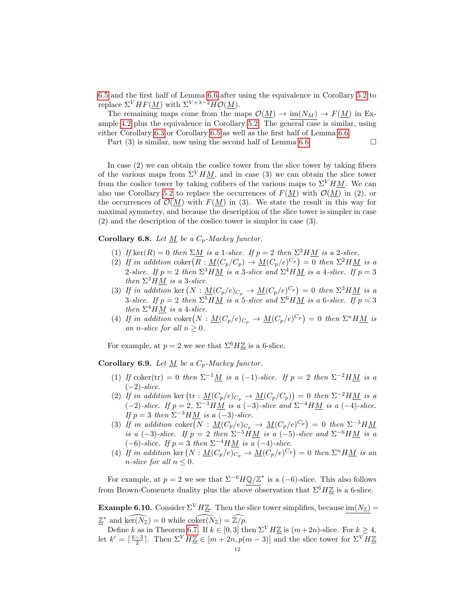[6.5](#page-9-2) and the first half of Lemma [6.6](#page-9-1) after using the equivalence in Corollary [5.2](#page-8-2) to replace  $\Sigma^V H F(M)$  with  $\Sigma^{V+\lambda-2} H \mathcal{O}(M)$ .

The remaining maps come from the maps  $\mathcal{O}(\underline{M}) \to \text{im}(N_M) \to F(\underline{M})$  in Ex-ample [4.2](#page-3-0) plus the equivalence in Corollary [5.2.](#page-8-2) The general case is similar, using either Corollary [6.3](#page-9-0) or Corollary [6.5](#page-9-2) as well as the first half of Lemma [6.6.](#page-9-1)

Part (3) is similar, now using the second half of Lemma [6.6.](#page-9-1)

In case (2) we can obtain the coslice tower from the slice tower by taking fibers of the various maps from  $\Sigma^V H M$ , and in case (3) we can obtain the slice tower from the coslice tower by taking cofibers of the various maps to  $\Sigma^V H M$ . We can also use Corollary [5.2](#page-8-2) to replace the occurrences of  $F(M)$  with  $\mathcal{O}(M)$  in (2), or the occurrences of  $\mathcal{O}(M)$  with  $F(M)$  in (3). We state the result in this way for maximal symmetry, and because the description of the slice tower is simpler in case (2) and the description of the coslice tower is simpler in case (3).

Corollary 6.8. Let  $\underline{M}$  be a  $C_p$ -Mackey functor.

- (1) If ker(R) = 0 then  $\Sigma M$  is a 1-slice. If  $p = 2$  then  $\Sigma^2 H M$  is a 2-slice.
- (2) If in addition coker  $(R: \underline{M}(C_p/C_p) \to \underline{M}(C_p/e)^{C_p}) = 0$  then  $\Sigma^2 H \underline{M}$  is a 2-slice. If  $p = 2$  then  $\Sigma^3 H M$  is a 3-slice and  $\Sigma^4 H M$  is a 4-slice. If  $p = 3$ then  $\Sigma^3 H M$  is a 3-slice.
- (3) If in addition ker  $(N: \underline{M}(C_p/e)_{C_p} \to \underline{M}(C_p/e)^{C_p} = 0$  then  $\Sigma^3 H \underline{M}$  is a 3-slice. If  $p = 2$  then  $\Sigma^5 H M$  is a 5-slice and  $\Sigma^6 H M$  is a 6-slice. If  $p = 3$ then  $\Sigma^4 H \underline{M}$  is a 4-slice.
- (4) If in addition coker  $(N: \underline{M}(C_p/e)_{C_p} \to \underline{M}(C_p/e)^{C_p} = 0$  then  $\Sigma^n H \underline{M}$  is an n-slice for all  $n \geq 0$ .

For example, at  $p = 2$  we see that  $\Sigma^6 H \mathbb{Z}$  is a 6-slice.

Corollary 6.9. Let  $M$  be a  $C_p$ -Mackey functor.

- (1) If coker(tr) = 0 then  $\Sigma^{-1}M$  is a (-1)-slice. If  $p = 2$  then  $\Sigma^{-2}HM$  is a  $(-2)$ -slice.
- (2) If in addition ker  $(tr : \underline{M}(C_p/e)_{C_p} \to \underline{M}(C_p/C_p)) = 0$  then  $\Sigma^{-2}H\underline{M}$  is a  $(-2)$ -slice. If  $p = 2$ ,  $\Sigma^{-3}HM$  is a  $(-3)$ -slice and  $\Sigma^{-4}HM$  is a  $(-4)$ -slice. If  $p = 3$  then  $\Sigma^{-3}HM$  is a (-3)-slice.
- (3) If in addition coker  $(N : \underline{M}(C_p/e)_{C_p} \to \underline{M}(C_p/e)^{C_p} = 0$  then  $\Sigma^{-3} H \underline{M}$ is a (-3)-slice. If  $p = 2$  then  $\Sigma^{-5}HM$  is a (-5)-slice and  $\Sigma^{-6}HM$  is a  $(-6)$ -slice. If  $p = 3$  then  $\Sigma^{-4} H M$  is a  $(-4)$ -slice.
- (4) If in addition ker  $(N: \underline{M}(C_p/e)_{C_p} \to \underline{M}(C_p/e)^{C_p}) = 0$  then  $\Sigma^n H \underline{M}$  is an n-slice for all  $n \leq 0$ .

For example, at  $p = 2$  we see that  $\Sigma^{-6} H \mathbb{Q}/\mathbb{Z}^*$  is a  $(-6)$ -slice. This also follows from Brown-Comenetz duality plus the above observation that  $\Sigma^6 H \mathbb{Z}$  is a 6-slice.

**Example 6.10.** Consider  $\Sigma^V H \underline{\mathbb{Z}}$ . Then the slice tower simplifies, because im $(N_{\mathbb{Z}})$  =  $\underline{\mathbb{Z}}^*$  and  $\widehat{\text{ker}(N_{\mathbb{Z}})} = 0$  while  $\widehat{\text{coker}(N_{\mathbb{Z}})} = \widehat{\mathbb{Z}/p}$ .

Define k as in Theorem [6.7.](#page-10-0) If  $k \in [0,3]$  then  $\Sigma^V H \underline{\mathbb{Z}}$  is  $(m+2n)$ -slice. For  $k \geq 4$ , let  $k' = \lceil \frac{k-3}{2} \rceil$ . Then  $\Sigma^V H \underline{\mathbb{Z}} \in [m+2n, p(m-3)]$  and the slice tower for  $\Sigma^V H \underline{\mathbb{Z}}$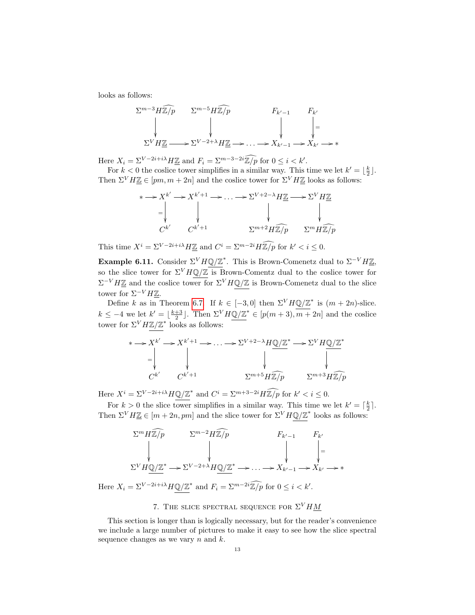looks as follows:

$$
\Sigma^{m-3} H\widetilde{\mathbb{Z}/p} \qquad \Sigma^{m-5} H\widetilde{\mathbb{Z}/p} \qquad F_{k'-1} \qquad F_{k'}
$$
\n
$$
\downarrow \qquad \qquad \downarrow \qquad \qquad \downarrow \qquad \qquad \downarrow \qquad \downarrow
$$
\n
$$
\Sigma^{V} H\mathbb{Z} \longrightarrow \Sigma^{V-2+\lambda} H\mathbb{Z} \longrightarrow \dots \longrightarrow X_{k'-1} \longrightarrow X_{k'} \longrightarrow *
$$

Here  $X_i = \sum_{i=1}^{V-2i+i} H \underline{\mathbb{Z}}$  and  $F_i = \sum_{i=1}^{m-3-2i} \overline{\mathbb{Z}}/p$  for  $0 \le i \le k'$ .

For  $k < 0$  the coslice tower simplifies in a similar way. This time we let  $k' = \lfloor \frac{k}{2} \rfloor$ . Then  $\Sigma^V H \underline{\mathbb{Z}} \in [pm, m + 2n]$  and the coslice tower for  $\Sigma^V H \underline{\mathbb{Z}}$  looks as follows:

$$
\begin{aligned}\n &* \longrightarrow X^{k'} \longrightarrow X^{k'+1} \longrightarrow \dots \longrightarrow \Sigma^{V+2-\lambda} H\underline{\mathbb{Z}} \longrightarrow \Sigma^V H\underline{\mathbb{Z}} \\
 &= \begin{vmatrix}\n & \downarrow & \downarrow & \downarrow \\
 & \downarrow & \downarrow & \downarrow \\
 C^{k'} & C^{k'+1} & \Sigma^{m+2} H \widehat{\mathbb{Z}/p} & \Sigma^m H \widehat{\mathbb{Z}/p}\n\end{vmatrix}\n\end{aligned}
$$

This time  $X^i = \sum_{i} V - 2i + i\lambda H \underline{\mathbb{Z}}$  and  $C^i = \sum_{i} V - 2i H \overline{\mathbb{Z}/p}$  for  $k' < i \leq 0$ .

**Example 6.11.** Consider  $\Sigma^V H \mathbb{Q}/\mathbb{Z}^*$ . This is Brown-Comenetz dual to  $\Sigma^{-V} H \mathbb{Z}$ , so the slice tower for  $\Sigma^V H \mathbb{Q}/\mathbb{Z}$  is Brown-Comentz dual to the coslice tower for  $\Sigma^{-V} H \underline{\mathbb{Z}}$  and the coslice tower for  $\Sigma^V H \mathbb{Q}/\mathbb{Z}$  is Brown-Comenetz dual to the slice tower for  $\Sigma^{-V} H \mathbb{Z}$ .

Define k as in Theorem [6.7.](#page-10-0) If  $k \in [-3,0]$  then  $\Sigma^V H \mathbb{Q}/\mathbb{Z}^*$  is  $(m+2n)$ -slice.  $k \leq -4$  we let  $k' = \lfloor \frac{k+3}{2} \rfloor$ . Then  $\Sigma^V H \mathcal{Q}/\mathbb{Z}^* \in [p(m+3), \overline{m+2n}]$  and the coslice tower for  $\Sigma^V H \mathbb{Z}/\mathbb{Z}^*$  looks as follows:

$$
\begin{aligned}\n &* \longrightarrow X^{k'} \longrightarrow X^{k'+1} \longrightarrow \dots \longrightarrow \Sigma^{V+2-\lambda} H \mathbb{Q}/\mathbb{Z}^* \longrightarrow \Sigma^V H \mathbb{Q}/\mathbb{Z}^* \\
 &= \left\| \bigvee_{C^{k'}} \qquad \bigvee_{C^{k'+1}} \qquad \qquad \sum^{m+5} H \mathbb{Z}/p \qquad \sum^{m+3} H \mathbb{Z}/p\n\end{aligned}
$$

Here  $X^i = \sum_{i} V - 2i + i\lambda H \underbrace{\mathbb{Q}/\mathbb{Z}}^*$  and  $C^i = \sum_{i} m + 3 - 2i H \widehat{\mathbb{Z}/p}$  for  $k' < i \leq 0$ .

For  $k > 0$  the slice tower simplifies in a similar way. This time we let  $k' = \lceil \frac{k}{2} \rceil$ . Then  $\Sigma^V H \underline{\mathbb{Z}} \in [m+2n, pm]$  and the slice tower for  $\Sigma^V H \mathbb{Q}/\mathbb{Z}^*$  looks as follows:

$$
\Sigma^{m} H \widehat{\mathbb{Z}/p} \qquad \Sigma^{m-2} H \widehat{\mathbb{Z}/p} \qquad F_{k'-1} \qquad F_{k'}
$$
\n
$$
\downarrow \qquad \qquad \downarrow \qquad \qquad \downarrow \qquad \qquad \downarrow \qquad \downarrow
$$
\n
$$
\Sigma^{V} H \underline{\mathbb{Q}/\mathbb{Z}}^{*} \longrightarrow \Sigma^{V-2+\lambda} H \underline{\mathbb{Q}/\mathbb{Z}}^{*} \longrightarrow \dots \longrightarrow X_{k'-1} \longrightarrow X_{k'} \longrightarrow *
$$

Here  $X_i = \sum_{i} V - 2i + i\lambda H \underbrace{\mathbb{Q}/\mathbb{Z}^*}$  and  $F_i = \sum_{i} V - 2i \widehat{\mathbb{Z}/p}$  for  $0 \leq i < k'$ .

# 7. THE SLICE SPECTRAL SEQUENCE FOR  $\Sigma^V H \underline{M}$

<span id="page-12-0"></span>This section is longer than is logically necessary, but for the reader's convenience we include a large number of pictures to make it easy to see how the slice spectral sequence changes as we vary  $n$  and  $k$ .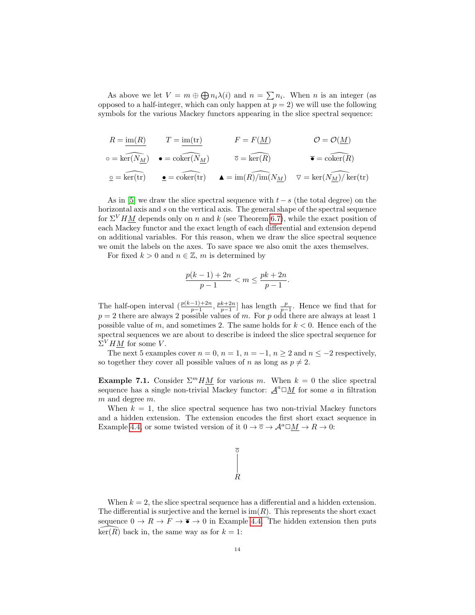As above we let  $V = m \oplus \bigoplus n_i \lambda(i)$  and  $n = \sum n_i$ . When n is an integer (as opposed to a half-integer, which can only happen at  $p = 2$ ) we will use the following symbols for the various Mackey functors appearing in the slice spectral sequence:

$$
R = \underline{\text{im}(R)} \qquad T = \underline{\text{im}(tr)} \qquad F = F(\underline{M}) \qquad \mathcal{O} = \mathcal{O}(\underline{M})
$$
  
\n
$$
\circ = \widehat{\text{ker}(N_{\underline{M}})} \qquad \bullet = \widehat{\text{coker}(N_{\underline{M}})} \qquad \overline{\circ} = \widehat{\text{ker}(R)} \qquad \overline{\bullet} = \widehat{\text{coker}(R)}
$$
  
\n
$$
\underline{\circ} = \widehat{\text{ker}(tr)} \qquad \bullet = \widehat{\text{coker}(tr)} \qquad \bullet = \widehat{\text{im}(R)/\text{im}(N_{\underline{M}})} \qquad \nabla = \text{ker}(N_{\underline{M}})/\text{ker}(\text{tr})
$$

As in [\[5\]](#page-26-1) we draw the slice spectral sequence with  $t - s$  (the total degree) on the horizontal axis and s on the vertical axis. The general shape of the spectral sequence for  $\Sigma^VHM$  depends only on n and k (see Theorem [6.7\)](#page-10-0), while the exact position of each Mackey functor and the exact length of each differential and extension depend on additional variables. For this reason, when we draw the slice spectral sequence we omit the labels on the axes. To save space we also omit the axes themselves.

For fixed  $k > 0$  and  $n \in \mathbb{Z}$ , m is determined by

$$
\frac{p(k-1) + 2n}{p-1} < m \le \frac{pk + 2n}{p-1}.
$$

The half-open interval  $(\frac{p(k-1)+2n}{p-1}, \frac{pk+2n}{p-1}]$  has length  $\frac{p}{p-1}$ . Hence we find that for  $p = 2$  there are always 2 possible values of m. For p odd there are always at least 1 possible value of m, and sometimes 2. The same holds for  $k < 0$ . Hence each of the spectral sequences we are about to describe is indeed the slice spectral sequence for  $\Sigma^V H \underline{M}$  for some V.

The next 5 examples cover  $n = 0$ ,  $n = 1$ ,  $n = -1$ ,  $n \ge 2$  and  $n \le -2$  respectively, so together they cover all possible values of n as long as  $p \neq 2$ .

**Example 7.1.** Consider  $\Sigma^mHM$  for various m. When  $k=0$  the slice spectral sequence has a single non-trivial Mackey functor:  $\underline{\mathcal{A}}^a \square \underline{M}$  for some a in filtration m and degree m.

When  $k = 1$ , the slice spectral sequence has two non-trivial Mackey functors and a hidden extension. The extension encodes the first short exact sequence in Example [4.4,](#page-5-0) or some twisted version of it  $0 \to \overline{\circ} \to \mathcal{A}^a \square \underline{M} \to R \to 0$ :



When  $k = 2$ , the slice spectral sequence has a differential and a hidden extension. The differential is surjective and the kernel is  $\text{im}(R)$ . This represents the short exact sequence  $0 \to R \to F \to \overline{\bullet} \to 0$  in Example [4.4.](#page-5-0) The hidden extension then puts  $\ker(R)$  back in, the same way as for  $k = 1$ :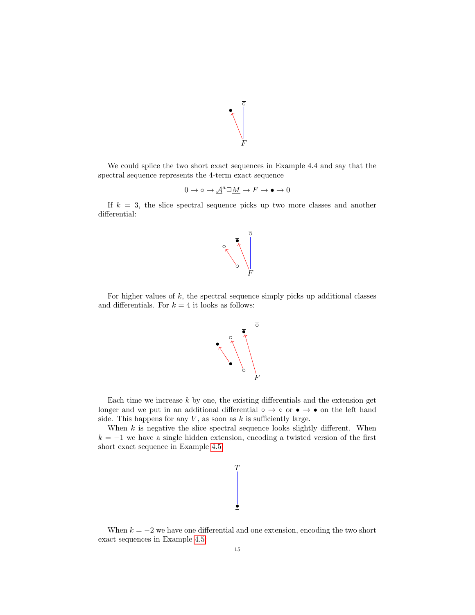

We could splice the two short exact sequences in Example 4.4 and say that the spectral sequence represents the 4-term exact sequence

$$
0 \to \overline{\circ} \to \underline{\mathcal{A}}^a \square \underline{M} \to F \to \overline{\bullet} \to 0
$$

If  $k = 3$ , the slice spectral sequence picks up two more classes and another differential:



For higher values of  $k$ , the spectral sequence simply picks up additional classes and differentials. For  $k = 4$  it looks as follows:



Each time we increase  $k$  by one, the existing differentials and the extension get longer and we put in an additional differential ∘  $\rightarrow \circ$  or  $\bullet \rightarrow \bullet$  on the left hand side. This happens for any  $V$ , as soon as  $k$  is sufficiently large.

When  $k$  is negative the slice spectral sequence looks slightly different. When  $k = -1$  we have a single hidden extension, encoding a twisted version of the first short exact sequence in Example [4.5:](#page-5-1)

```
•
T
```
When  $k = -2$  we have one differential and one extension, encoding the two short exact sequences in Example [4.5:](#page-5-1)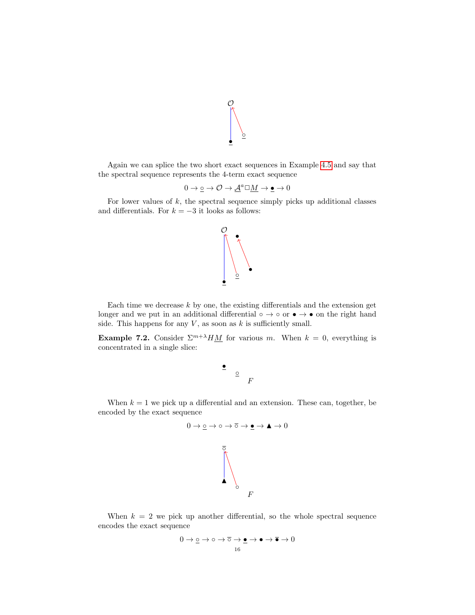

Again we can splice the two short exact sequences in Example [4.5](#page-5-1) and say that the spectral sequence represents the 4-term exact sequence

$$
0 \to \underline{\circ} \to \mathcal{O} \to \underline{\mathcal{A}}^a \square \underline{M} \to \underline{\bullet} \to 0
$$

For lower values of  $k$ , the spectral sequence simply picks up additional classes and differentials. For  $k = -3$  it looks as follows:



Each time we decrease  $k$  by one, the existing differentials and the extension get longer and we put in an additional differential ∘ → ∘ or • → • on the right hand side. This happens for any  $V$ , as soon as  $k$  is sufficiently small.

**Example 7.2.** Consider  $\Sigma^{m+\lambda}HM$  for various m. When  $k = 0$ , everything is concentrated in a single slice:

$$
\begin{array}{c}\bullet \\
\circ \\
F\n\end{array}
$$

When  $k = 1$  we pick up a differential and an extension. These can, together, be encoded by the exact sequence



When  $k = 2$  we pick up another differential, so the whole spectral sequence encodes the exact sequence

$$
0 \to \underline{\circ} \to \circ \to \overline{\circ} \to \bullet \to \bullet \to \overline{\bullet} \to 0
$$
  

$$
\underline{\bullet} \to 0
$$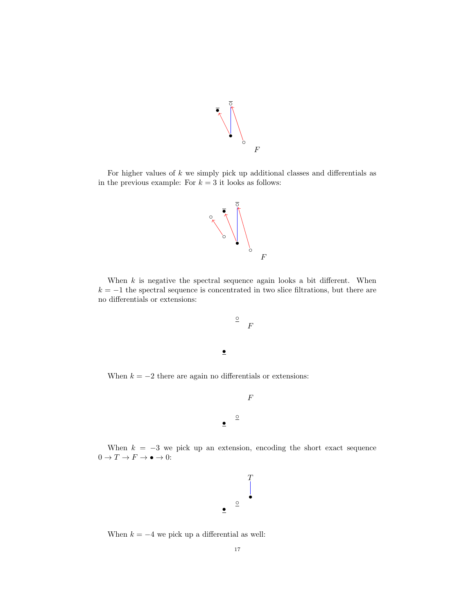

For higher values of  $k$  we simply pick up additional classes and differentials as in the previous example: For  $k = 3$  it looks as follows:



When  $k$  is negative the spectral sequence again looks a bit different. When  $k = -1$  the spectral sequence is concentrated in two slice filtrations, but there are no differentials or extensions:

$$
\begin{array}{c}\n\circ \\
\circ \\
F\n\end{array}
$$

•

•

When  $k = -2$  there are again no differentials or extensions:

$$
\underline{\circ}
$$

F

When  $k = -3$  we pick up an extension, encoding the short exact sequence  $0 \rightarrow T \rightarrow F \rightarrow \bullet \rightarrow 0 \colon$ 



When  $k = -4$  we pick up a differential as well: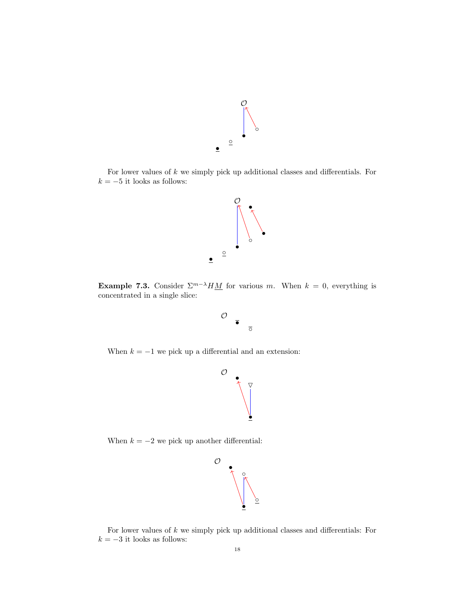

For lower values of  $k$  we simply pick up additional classes and differentials. For  $k = -5$  it looks as follows:



**Example 7.3.** Consider  $\sum_{m} \lambda H \underline{M}$  for various m. When  $k = 0$ , everything is concentrated in a single slice:



 $\mathcal O$ 

◦

When  $k = -1$  we pick up a differential and an extension:



When  $k = -2$  we pick up another differential:



For lower values of  $k$  we simply pick up additional classes and differentials: For  $k=-3$  it looks as follows: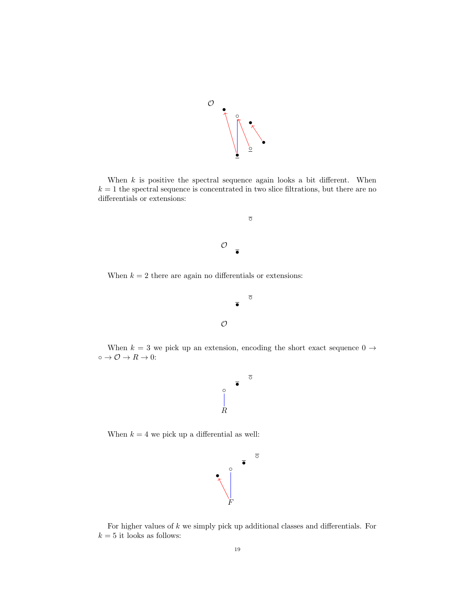

When  $k$  is positive the spectral sequence again looks a bit different. When  $k = 1$  the spectral sequence is concentrated in two slice filtrations, but there are no differentials or extensions:



When  $k = 2$  there are again no differentials or extensions:



When  $k = 3$  we pick up an extension, encoding the short exact sequence  $0 \rightarrow$  $\circ \rightarrow \mathcal{O} \rightarrow R \rightarrow 0$  :



When  $k = 4$  we pick up a differential as well:



For higher values of  $k$  we simply pick up additional classes and differentials. For  $k=5$  it looks as follows: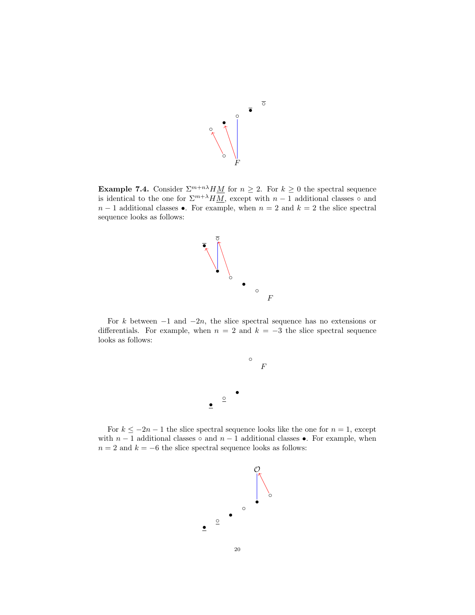

**Example 7.4.** Consider  $\sum_{n=1}^{\infty} \frac{1}{n} M_n$  for  $n \geq 2$ . For  $k \geq 0$  the spectral sequence is identical to the one for  $\Sigma^{m+\lambda} H \overline{M}$ , except with  $n-1$  additional classes ∘ and  $n-1$  additional classes •. For example, when  $n=2$  and  $k=2$  the slice spectral sequence looks as follows:



For k between  $-1$  and  $-2n$ , the slice spectral sequence has no extensions or differentials. For example, when  $n = 2$  and  $k = -3$  the slice spectral sequence looks as follows:



For  $k \leq -2n-1$  the slice spectral sequence looks like the one for  $n = 1$ , except with  $n-1$  additional classes ∘ and  $n-1$  additional classes •. For example, when  $n = 2$  and  $k = -6$  the slice spectral sequence looks as follows:

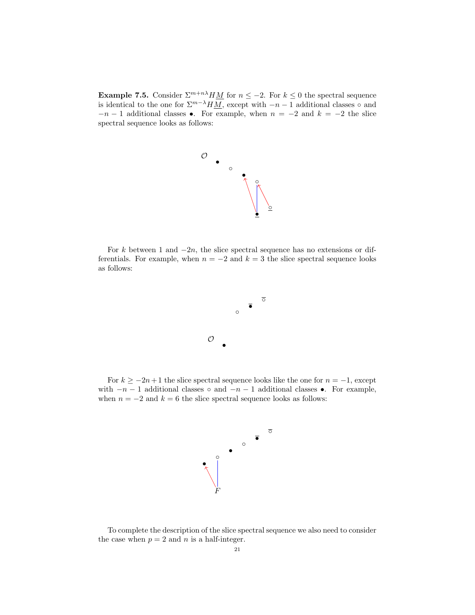Example 7.5. Consider  $\sum_{n=1}^{\infty}$  Example 7.5. Consider  $\sum_{n=1}^{\infty}$  Eq. notice  $n \leq -2$ . For  $k \leq 0$  the spectral sequence is identical to the one for  $\Sigma^{m-\lambda}H\overline{M}$ , except with  $-n-1$  additional classes ∘ and  $-n-1$  additional classes •. For example, when  $n = -2$  and  $k = -2$  the slice spectral sequence looks as follows:



For k between 1 and  $-2n$ , the slice spectral sequence has no extensions or differentials. For example, when  $n = -2$  and  $k = 3$  the slice spectral sequence looks as follows:



For  $k \ge -2n+1$  the slice spectral sequence looks like the one for  $n = -1$ , except with  $-n-1$  additional classes  $\circ$  and  $-n-1$  additional classes •. For example, when  $n = -2$  and  $k = 6$  the slice spectral sequence looks as follows:



To complete the description of the slice spectral sequence we also need to consider the case when  $p = 2$  and n is a half-integer.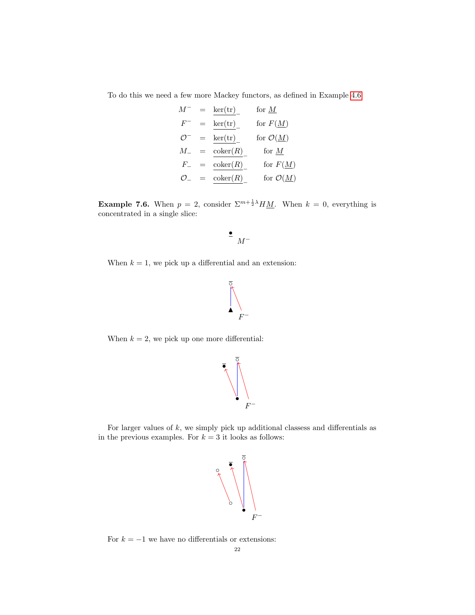To do this we need a few more Mackey functors, as defined in Example [4.6:](#page-5-2)

$$
M^{-} = \text{ker(tr)}_{\text{fer}} \qquad \text{for } \underline{M}
$$
  
\n
$$
F^{-} = \text{ker(tr)}_{\text{fer}} \qquad \text{for } F(\underline{M})
$$
  
\n
$$
\mathcal{O}^{-} = \text{ker(tr)}_{\text{fer}} \qquad \text{for } \mathcal{O}(\underline{M})
$$
  
\n
$$
M_{-} = \text{coker}(R)_{\text{for } H_{\text{inter}}}
$$
  
\n
$$
\mathcal{O}_{-} = \text{coker}(R)_{\text{for } H_{\text{inter}}}
$$
  
\nfor  $\mathcal{O}(\underline{M})$ 

**Example 7.6.** When  $p = 2$ , consider  $\sum_{k=1}^{m} \frac{1}{2} \lambda_k$ . When  $k = 0$ , everything is concentrated in a single slice:

$$
\bullet \ \ _{M^-}
$$

When  $k = 1$ , we pick up a differential and an extension:



When  $k = 2$ , we pick up one more differential:



For larger values of  $k$ , we simply pick up additional classess and differentials as in the previous examples. For  $k = 3$  it looks as follows:



For  $k = -1$  we have no differentials or extensions: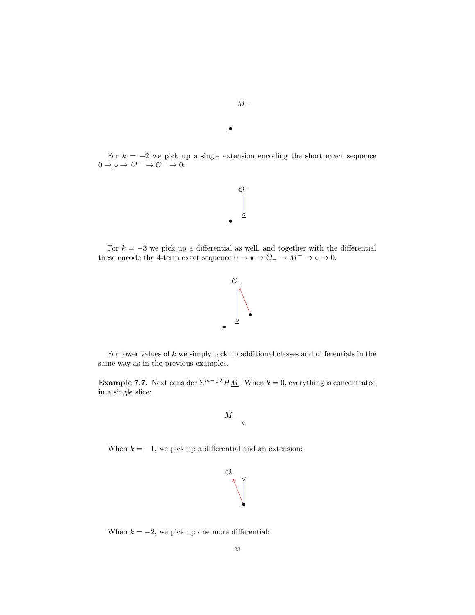For  $k = -2$  we pick up a single extension encoding the short exact sequence  $0 \rightarrow \underline{\circ} \rightarrow M^- \rightarrow \mathcal{O}^- \rightarrow 0 \mathpunct{:}$ 

 $\mathcal{O}^-$ 

•

 $M^-$ 

For  $k = -3$  we pick up a differential as well, and together with the differential these encode the 4-term exact sequence  $0 \to \bullet \to \mathcal{O}_- \to M^- \to \underline{\circ} \to 0$ :

• ◦



For lower values of  $k$  we simply pick up additional classes and differentials in the same way as in the previous examples.

**Example 7.7.** Next consider  $\Sigma^{m-\frac{1}{2}\lambda}HM$ . When  $k=0$ , everything is concentrated in a single slice:

$$
M_{-} \quad \frac{}{\overline{\circ}}
$$

When  $k = -1$ , we pick up a differential and an extension:



When  $k = -2$ , we pick up one more differential: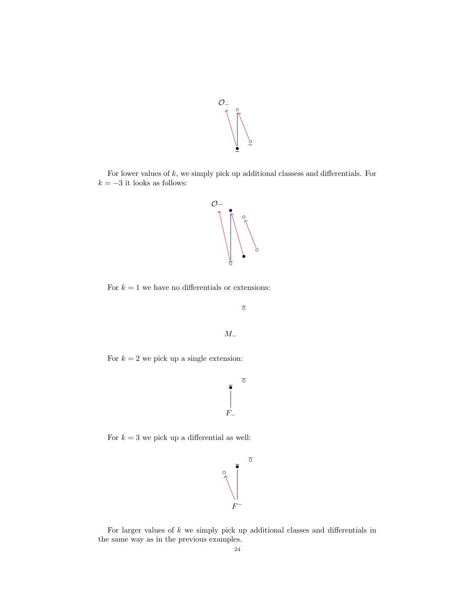

For lower values of  $k$ , we simply pick up additional classess and differentials. For  $k=-3$  it looks as follows:



For  $k = 1$  we have no differentials or extensions:

 $\overline{\circ}$ 



For  $k = 2$  we pick up a single extension:



For  $k = 3$  we pick up a differential as well:



For larger values of  $k$  we simply pick up additional classes and differentials in the same way as in the previous examples.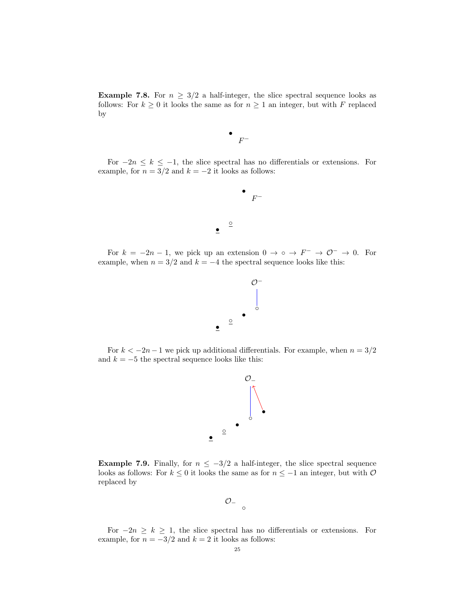**Example 7.8.** For  $n \geq 3/2$  a half-integer, the slice spectral sequence looks as follows: For  $k \geq 0$  it looks the same as for  $n \geq 1$  an integer, but with F replaced by



For  $-2n \leq k \leq -1$ , the slice spectral has no differentials or extensions. For example, for  $n = 3/2$  and  $k = -2$  it looks as follows:



For  $k = -2n - 1$ , we pick up an extension  $0 \to \infty \to F^- \to \mathcal{O}^- \to 0$ . For example, when  $n = 3/2$  and  $k = -4$  the spectral sequence looks like this:

 $\bullet$ 



For  $k < -2n - 1$  we pick up additional differentials. For example, when  $n = 3/2$ and  $k = -5$  the spectral sequence looks like this:



**Example 7.9.** Finally, for  $n \leq -3/2$  a half-integer, the slice spectral sequence looks as follows: For  $k\leq 0$  it looks the same as for  $n\leq -1$  an integer, but with  $\mathcal O$ replaced by

•

 $\mathcal{O}_{-\circ}$ 

For  $-2n \geq k \geq 1$ , the slice spectral has no differentials or extensions. For example, for  $n = -3/2$  and  $k = 2$  it looks as follows: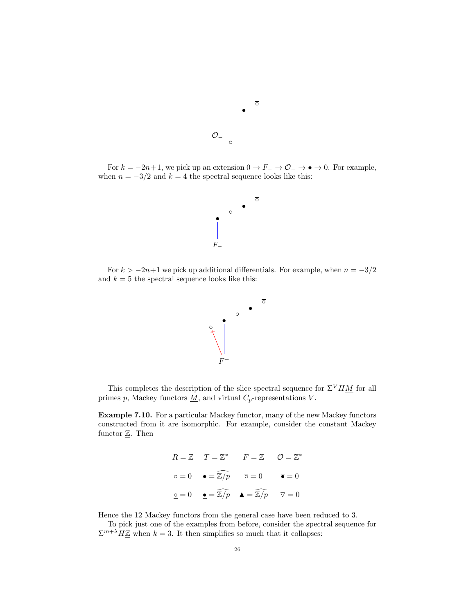

For  $k = -2n+1$ , we pick up an extension  $0 \to F^- \to \mathcal{O}_- \to \bullet \to 0$ . For example, when  $n = -3/2$  and  $k = 4$  the spectral sequence looks like this:

 $\circ$ 



For  $k > -2n+1$  we pick up additional differentials. For example, when  $n = -3/2$ and  $k = 5$  the spectral sequence looks like this:



This completes the description of the slice spectral sequence for  $\Sigma^{V} H \underline{M}$  for all primes p, Mackey functors  $M$ , and virtual  $C_p$ -representations V.

Example 7.10. For a particular Mackey functor, many of the new Mackey functors constructed from it are isomorphic. For example, consider the constant Mackey functor  $\underline{\mathbb{Z}}$ . Then

$$
R = \underline{\mathbb{Z}} \quad T = \underline{\mathbb{Z}}^* \quad F = \underline{\mathbb{Z}} \quad \mathcal{O} = \underline{\mathbb{Z}}^*
$$
  
\n
$$
\circ = 0 \quad \bullet = \widehat{\mathbb{Z}/p} \quad \overline{\circ} = 0 \quad \overline{\bullet} = 0
$$
  
\n
$$
\underline{\circ} = 0 \quad \underline{\bullet} = \widehat{\mathbb{Z}/p} \quad \underline{\blacktriangle} = \widehat{\mathbb{Z}/p} \quad \nabla = 0
$$

Hence the 12 Mackey functors from the general case have been reduced to 3.

To pick just one of the examples from before, consider the spectral sequence for  $\sum_{k=1}^{m+\lambda} H \underline{\mathbb{Z}}$  when  $k=3$ . It then simplifies so much that it collapses: